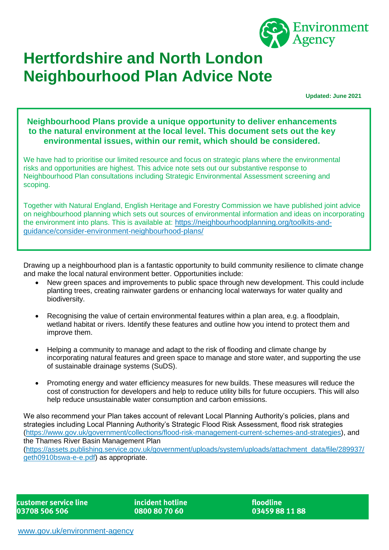

# **Hertfordshire and North London Neighbourhood Plan Advice Note**

**Updated: June 2021**

**Neighbourhood Plans provide a unique opportunity to deliver enhancements to the natural environment at the local level. This document sets out the key environmental issues, within our remit, which should be considered.**

We have had to prioritise our limited resource and focus on strategic plans where the environmental risks and opportunities are highest. This advice note sets out our substantive response to Neighbourhood Plan consultations including Strategic Environmental Assessment screening and scoping.

Together with Natural England, English Heritage and Forestry Commission we have published joint advice on neighbourhood planning which sets out sources of environmental information and ideas on incorporating the environment into plans. This is available at: [https://neighbourhoodplanning.org/toolkits-and](https://neighbourhoodplanning.org/toolkits-and-guidance/consider-environment-neighbourhood-plans/)[guidance/consider-environment-neighbourhood-plans/](https://neighbourhoodplanning.org/toolkits-and-guidance/consider-environment-neighbourhood-plans/)

Drawing up a neighbourhood plan is a fantastic opportunity to build community resilience to climate change and make the local natural environment better. Opportunities include:

- New green spaces and improvements to public space through new development. This could include planting trees, creating rainwater gardens or enhancing local waterways for water quality and biodiversity.
- Recognising the value of certain environmental features within a plan area, e.g. a floodplain, wetland habitat or rivers. Identify these features and outline how you intend to protect them and improve them.
- Helping a community to manage and adapt to the risk of flooding and climate change by incorporating natural features and green space to manage and store water, and supporting the use of sustainable drainage systems (SuDS).
- Promoting energy and water efficiency measures for new builds. These measures will reduce the cost of construction for developers and help to reduce utility bills for future occupiers. This will also help reduce unsustainable water consumption and carbon emissions.

We also recommend your Plan takes account of relevant Local Planning Authority's policies, plans and strategies including Local Planning Authority's Strategic Flood Risk Assessment, flood risk strategies [\(https://www.gov.uk/government/collections/flood-risk-management-current-schemes-and-strategies\)](https://www.gov.uk/government/collections/flood-risk-management-current-schemes-and-strategies), and the Thames River Basin Management Plan [\(https://assets.publishing.service.gov.uk/government/uploads/system/uploads/attachment\\_data/file/289937/](https://assets.publishing.service.gov.uk/government/uploads/system/uploads/attachment_data/file/289937/geth0910bswa-e-e.pdf) [geth0910bswa-e-e.pdf\)](https://assets.publishing.service.gov.uk/government/uploads/system/uploads/attachment_data/file/289937/geth0910bswa-e-e.pdf) as appropriate.

customer service line 03708 506 506

incident hotline 0800 80 70 60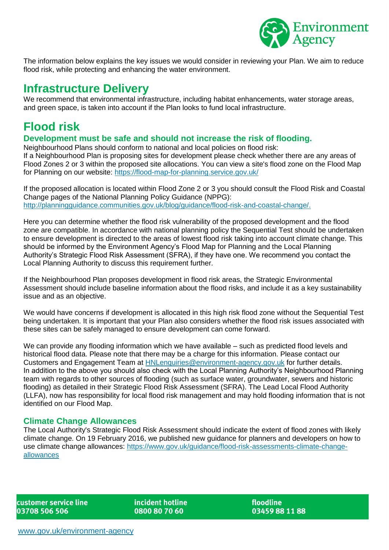

The information below explains the key issues we would consider in reviewing your Plan. We aim to reduce flood risk, while protecting and enhancing the water environment.

# **Infrastructure Delivery**

We recommend that environmental infrastructure, including habitat enhancements, water storage areas, and green space, is taken into account if the Plan looks to fund local infrastructure.

# **Flood risk**

#### **Development must be safe and should not increase the risk of flooding.**

Neighbourhood Plans should conform to national and local policies on flood risk: If a Neighbourhood Plan is proposing sites for development please check whether there are any areas of Flood Zones 2 or 3 within the proposed site allocations. You can view a site's flood zone on the Flood Map for Planning on our website:<https://flood-map-for-planning.service.gov.uk/>

If the proposed allocation is located within Flood Zone 2 or 3 you should consult the Flood Risk and Coastal Change pages of the National Planning Policy Guidance (NPPG): [http://planningguidance.communities.gov.uk/blog/guidance/flood-risk-and-coastal-change/.](http://planningguidance.communities.gov.uk/blog/guidance/flood-risk-and-coastal-change/)

Here you can determine whether the flood risk vulnerability of the proposed development and the flood zone are compatible. In accordance with national planning policy the Sequential Test should be undertaken to ensure development is directed to the areas of lowest flood risk taking into account climate change. This should be informed by the Environment Agency's Flood Map for Planning and the Local Planning Authority's Strategic Flood Risk Assessment (SFRA), if they have one. We recommend you contact the Local Planning Authority to discuss this requirement further.

If the Neighbourhood Plan proposes development in flood risk areas, the Strategic Environmental Assessment should include baseline information about the flood risks, and include it as a key sustainability issue and as an objective.

We would have concerns if development is allocated in this high risk flood zone without the Sequential Test being undertaken. It is important that your Plan also considers whether the flood risk issues associated with these sites can be safely managed to ensure development can come forward.

We can provide any flooding information which we have available – such as predicted flood levels and historical flood data. Please note that there may be a charge for this information. Please contact our Customers and Engagement Team at [HNLenquiries@environment-agency.gov.uk](mailto:HNLenquiries@environment-agency.gov.uk) for further details. In addition to the above you should also check with the Local Planning Authority's Neighbourhood Planning team with regards to other sources of flooding (such as surface water, groundwater, sewers and historic flooding) as detailed in their Strategic Flood Risk Assessment (SFRA). The Lead Local Flood Authority (LLFA), now has responsibility for local flood risk management and may hold flooding information that is not identified on our Flood Map.

#### **Climate Change Allowances**

The Local Authority's Strategic Flood Risk Assessment should indicate the extent of flood zones with likely climate change. On 19 February 2016, we published new guidance for planners and developers on how to use climate change allowances: [https://www.gov.uk/guidance/flood-risk-assessments-climate-change](https://www.gov.uk/guidance/flood-risk-assessments-climate-change-allowances)[allowances](https://www.gov.uk/guidance/flood-risk-assessments-climate-change-allowances)

customer service line 03708 506 506

incident hotline 0800 80 70 60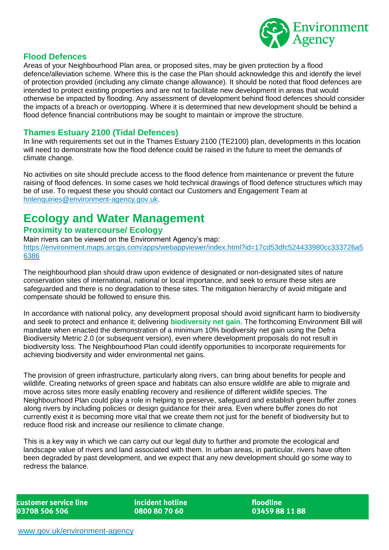

#### **Flood Defences**

Areas of your Neighbourhood Plan area, or proposed sites, may be given protection by a flood defence/alleviation scheme. Where this is the case the Plan should acknowledge this and identify the level of protection provided (including any climate change allowance). It should be noted that flood defences are intended to protect existing properties and are not to facilitate new development in areas that would otherwise be impacted by flooding. Any assessment of development behind flood defences should consider the impacts of a breach or overtopping. Where it is determined that new development should be behind a flood defence financial contributions may be sought to maintain or improve the structure.

#### **Thames Estuary 2100 (Tidal Defences)**

In line with requirements set out in the Thames Estuary 2100 (TE2100) plan, developments in this location will need to demonstrate how the flood defence could be raised in the future to meet the demands of climate change.

No activities on site should preclude access to the flood defence from maintenance or prevent the future raising of flood defences. In some cases we hold technical drawings of flood defence structures which may be of use. To request these you should contact our Customers and Engagement Team at [hnlenquiries@environment-agency.gov.uk.](mailto:hnlenquiries@environment-agency.gov.uk)

# **Ecology and Water Management**

#### **Proximity to watercourse/ Ecology**

Main rivers can be viewed on the Environment Agency's map: [https://environment.maps.arcgis.com/apps/webappviewer/index.html?id=17cd53dfc524433980cc333726a5](https://environment.maps.arcgis.com/apps/webappviewer/index.html?id=17cd53dfc524433980cc333726a56386) [6386](https://environment.maps.arcgis.com/apps/webappviewer/index.html?id=17cd53dfc524433980cc333726a56386)

The neighbourhood plan should draw upon evidence of designated or non-designated sites of nature conservation sites of international, national or local importance, and seek to ensure these sites are safeguarded and there is no degradation to these sites. The mitigation hierarchy of avoid mitigate and compensate should be followed to ensure this.

In accordance with national policy, any development proposal should avoid significant harm to biodiversity and seek to protect and enhance it; delivering **biodiversity net gain**. The forthcoming Environment Bill will mandate when enacted the demonstration of a minimum 10% biodiversity net gain using the Defra Biodiversity Metric 2.0 (or subsequent version), even where development proposals do not result in biodiversity loss. The Neighbourhood Plan could identify opportunities to incorporate requirements for achieving biodiversity and wider environmental net gains.

The provision of green infrastructure, particularly along rivers, can bring about benefits for people and wildlife. Creating networks of green space and habitats can also ensure wildlife are able to migrate and move across sites more easily enabling recovery and resilience of different wildlife species. The Neighbourhood Plan could play a role in helping to preserve, safeguard and establish green buffer zones along rivers by including policies or design guidance for their area. Even where buffer zones do not currently exist it is becoming more vital that we create them not just for the benefit of biodiversity but to reduce flood risk and increase our resilience to climate change.

This is a key way in which we can carry out our legal duty to further and promote the ecological and landscape value of rivers and land associated with them. In urban areas, in particular, rivers have often been degraded by past development, and we expect that any new development should go some way to redress the balance.

customer service line 03708 506 506

incident hotline 0800 80 70 60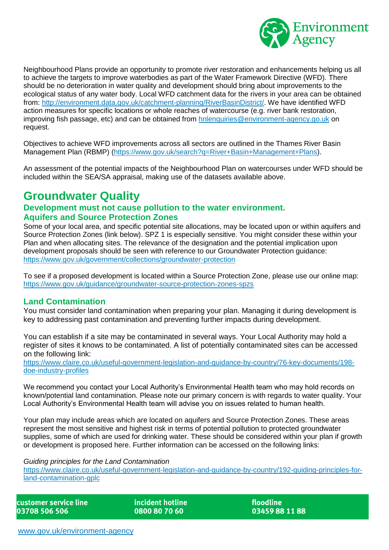

Neighbourhood Plans provide an opportunity to promote river restoration and enhancements helping us all to achieve the targets to improve waterbodies as part of the Water Framework Directive (WFD). There should be no deterioration in water quality and development should bring about improvements to the ecological status of any water body. Local WFD catchment data for the rivers in your area can be obtained from: [http://environment.data.gov.uk/catchment-planning/RiverBasinDistrict/.](http://environment.data.gov.uk/catchment-planning/RiverBasinDistrict/) We have identified WFD action measures for specific locations or whole reaches of watercourse (e.g. river bank restoration, improving fish passage, etc) and can be obtained from [hnlenquiries@environment-agency.go.uk](mailto:hnlenquiries@environment-agency.go.uk) on request.

Objectives to achieve WFD improvements across all sectors are outlined in the Thames River Basin Management Plan (RBMP) [\(https://www.gov.uk/search?q=River+Basin+Management+Plans\)](https://www.gov.uk/search?q=River+Basin+Management+Plans).

An assessment of the potential impacts of the Neighbourhood Plan on watercourses under WFD should be included within the SEA/SA appraisal, making use of the datasets available above.

## **Groundwater Quality**

#### **Development must not cause pollution to the water environment. Aquifers and Source Protection Zones**

Some of your local area, and specific potential site allocations, may be located upon or within aquifers and Source Protection Zones (link below). SPZ 1 is especially sensitive. You might consider these within your Plan and when allocating sites. The relevance of the designation and the potential implication upon development proposals should be seen with reference to our Groundwater Protection guidance: <https://www.gov.uk/government/collections/groundwater-protection>

To see if a proposed development is located within a Source Protection Zone, please use our online map: <https://www.gov.uk/guidance/groundwater-source-protection-zones-spzs>

#### **Land Contamination**

You must consider land contamination when preparing your plan. Managing it during development is key to addressing past contamination and preventing further impacts during development.

You can establish if a site may be contaminated in several ways. Your Local Authority may hold a register of sites it knows to be contaminated. A list of potentially contaminated sites can be accessed on the following link:

[https://www.claire.co.uk/useful-government-legislation-and-guidance-by-country/76-key-documents/198](https://www.claire.co.uk/useful-government-legislation-and-guidance-by-country/76-key-documents/198-doe-industry-profiles) [doe-industry-profiles](https://www.claire.co.uk/useful-government-legislation-and-guidance-by-country/76-key-documents/198-doe-industry-profiles)

We recommend you contact your Local Authority's Environmental Health team who may hold records on known/potential land contamination. Please note our primary concern is with regards to water quality. Your Local Authority's Environmental Health team will advise you on issues related to human health.

Your plan may include areas which are located on aquifers and Source Protection Zones. These areas represent the most sensitive and highest risk in terms of potential pollution to protected groundwater supplies, some of which are used for drinking water. These should be considered within your plan if growth or development is proposed here. Further information can be accessed on the following links:

*Guiding principles for the Land Contamination* 

[https://www.claire.co.uk/useful-government-legislation-and-guidance-by-country/192-guiding-principles-for](https://www.claire.co.uk/useful-government-legislation-and-guidance-by-country/192-guiding-principles-for-land-contamination-gplc)[land-contamination-gplc](https://www.claire.co.uk/useful-government-legislation-and-guidance-by-country/192-guiding-principles-for-land-contamination-gplc)

customer service line 03708 506 506

incident hotline 0800 80 70 60